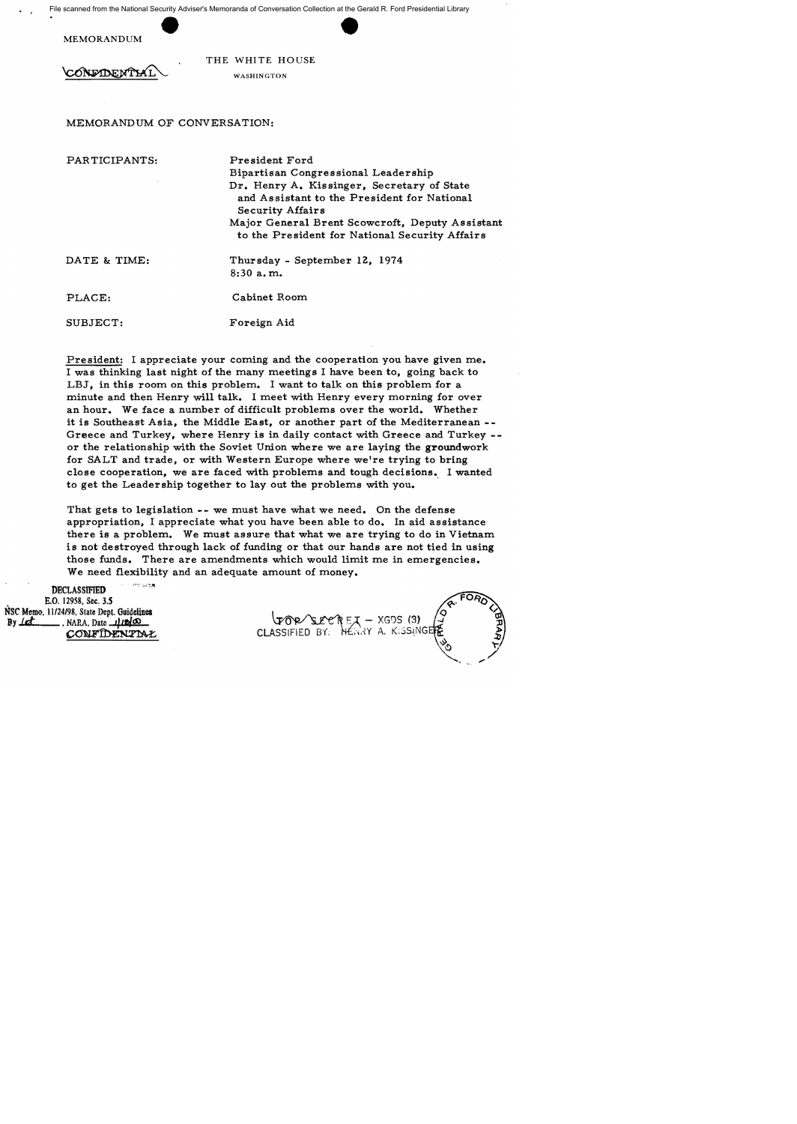File scanned from the National Security Adviser's Memoranda of Conversation Collection at the Gerald R. Ford Presidential Library

MEMORANDUM

 $\cdot$  ,

**ONEXTNE NTTA** 

THE WHITE HOUSE WASH1NGTON

## MEMORANDUM OF CONVERSATION:

PARTICIPANTS:

President Ford Bipartisan Congressional Leadership Dr. Henry A. Kissinger, Secretary of State and Assistant to the President for National Security Affairs Major General Brent Scowcroft, Deputy Assistant to the President for National Security Affairs

DATE & TIME:

Thursday - September 12, 1974 8:30 a. m.

PLACE:

SUBJECT:

Foreign Aid

Cabinet Room

President: I appreciate your coming and the cooperation you have given me. I was thinking last night of the many meetings I have been to, going back to LBJ, in this room on this problem. I want to talk on this problem for a minute and then Henry will talk. I meet with Henry every morning for over an hour. We face a number of difficult problems over the world. Whether it is Southeast Asia, the Middle East, or another part of the Mediterranean -- Greece and Turkey, where Henry is in daily contact with Greece and Turkey - or the relationship with the Soviet Union where we are laying the groundwork for SALT and trade, or with Western Europe where we're trying to bring close cooperation, we are faced with problems and tough decisions. I wanted to get the Leadership together to layout the problems with you.

That gets to legislation -- we must have what we need. On the defense appropriation, I appreciate what you have been able to do. In aid assistance there is a problem. We must assure that what we are trying to do in Vietnam is not destroyed through lack of funding or that our hands are not tied in using those funds. There are amendments which would limit me in emergencies. We need flexibility and an adequate amount of money.

**DECLASSIFIED** E.O. 12958, Sec. 3.S NSC Memo, *11124/98,* State Dept. Guidelines By *.i.d.* MARA, Date *1/12* 0<br>CONFIDENTIAL We need flexibility and an adequate amount of money.<br>
<br>
The CLASSIFIED state Dept. Guidelines<br>
198, State Dept. Guidelines<br>
NARA, Date 1120<br>
CONFIDENTIAL CLASSIFIED BY: HENRY A. KISSING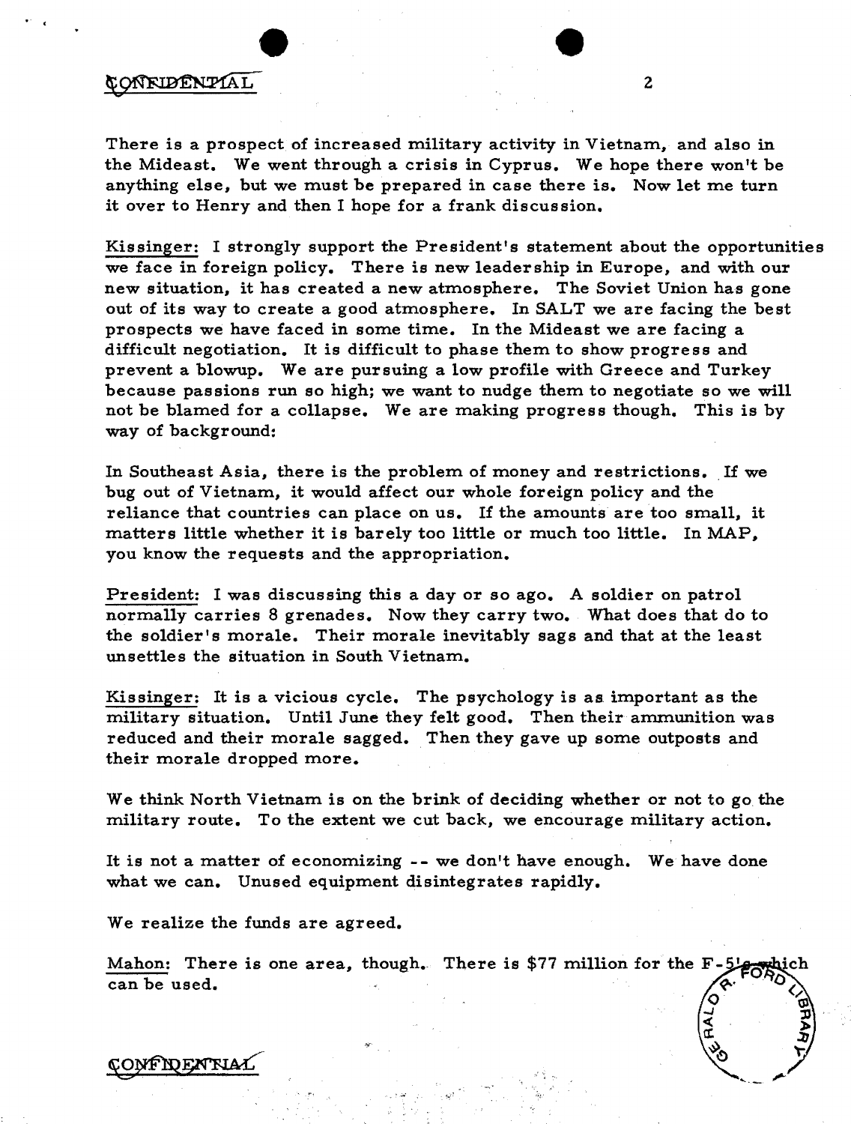## CONFIDENTIAL

 $\cdot$  ,

There is a prospect of increased military activity in Vietnam, and also in the Mideast. We went through a crisis in Cyprus. We hope there won't be anything else, but we must be prepared in case there is. Now let me turn it over to Henry and then I hope for a frank discussion.

Kissinger: I strongly support the President's statement about the opportunities we face in foreign policy. There is new leadership in Europe, and with our new situation, it has created a new atmosphere. The Soviet Union has gone out of its way to create a good atmosphere. In SALT we are facing the best prospects we have faced in some time. In the Mideast we are facing a difficult negotiation. It is difficult to phase them to show progress and prevent a blowup. We are pursuing a low profile with Greece and Turkey because passions run so high; we want to nudge them to negotiate so we will not be blamed for a collapse. We are making progress though. This is by way of background:

In Southeast Asia, there is the problem of money and restrictions. If we bug out of Vietnam, it would affect our whole foreign policy and the reliance that countries can place on us. If the amounts are too small, it matters little whether it is barely too little or much too little. In MAP, you know the requests and the appropriation.

President: I was discussing this a day or so ago. A soldier on patrol normally carries 8 grenades. Now they carry two. What does that do to the soldier's morale. Their morale inevitably sags and that at the least unsettles the situation in South Vietnam.

Kissinger: It is a vicious cycle. The psychology is as important as the military situation. Until June they felt good. Then their ammunition was reduced and their morale sagged. Then they gave up some outposts and their morale dropped more.

We think North Vietnam is on the brink of deciding whether or not to go the military route. To the extent we cut back, we encourage military action.

It is not a matter of economizing -- we don't have enough. We have done what we can. Unused equipment disintegrates rapidly.

We realize the funds are agreed.

Mahon: There is one area, though. There is \$77 million for the  $F-5$ can be used.

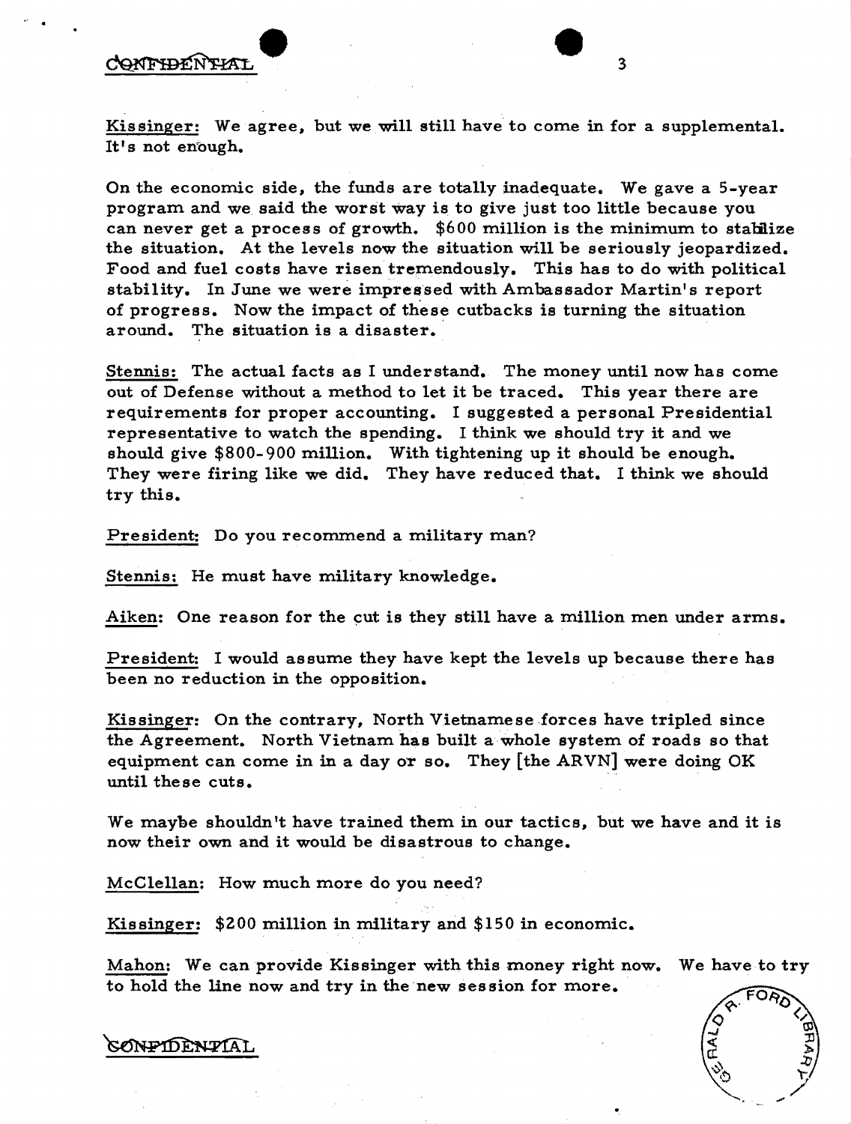## CONFIDENTIAI

Kissinger: We agree, but we will still have to come in for a supplemental. It's not enough.

On the economic side, the funds are totally inadequate. We gave a 5-year program and we said the worst Way is to give just too little because you can never get a process of growth.  $$600$  million is the minimum to stabilize the situation. At the levels now the situation will be seriously jeopardized. Food and fuel costs have risen tremendously. This has to do with political stability. In June we were impressed with Ambassador Martin's report of progress. Now the impact of these cutbacks is turning the situation around. The situation is a disaster.

Stennis: The actual facts as I understand. The money until now has come out of Defense without a method to let it be traced. This year there are requirements for proper accounting. I suggested a personal Presidential representative to watch the spending. I think we should try it and we should give \$800- 900 million. With tightening up it should be enough. They were firing like we did. They have reduced that. I think we should try this.

President: Do you recommend a military man?

Stennis: He must have military knowledge.

Aiken: One reason for the cut is they still have a million men under arms.

President: I would assume they have kept the levels up because there has been no reduction in the opposition.

Kissinger: On the contrary, North Vietnamese forces have tripled since the Agreement. North Vietnam has built a whole system of roads so that equipment can come in in a day OT so. They [the ARVN] were doing OK until these cuts.

We maybe shouldn't have trained them in our tactics, but we have and it is now their own and it would be disastrous to change.

McClellan: How much more do you need?

Kissinger: \$200 million in military and \$150 in economic.

Mahon: We can provide Kissinger with this money right now. We have to try to hold the line now and try in the new session for more.



CONPIDENTIAL

3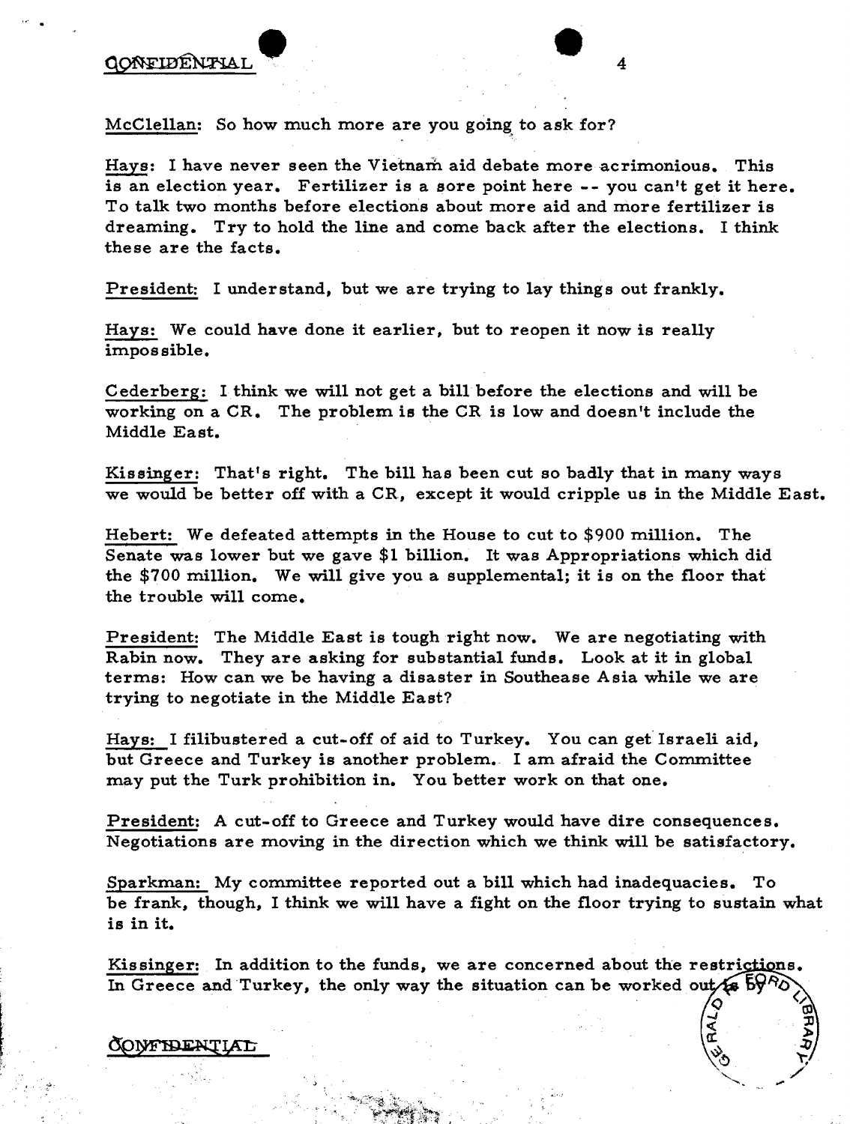McClellan: So how much more are you going to ask for?

Hays: I have never seen the Vietnam aid debate more acrimonious. This is an election year. Fertilizer is a sore point here -- you can't get it here. To talk two months before elections about more aid and more fertilizer is dreaming. Try to hold the line and come back after the elections. I think these are the facts.

President: I understand, but we are trying to lay things out frankly.

Hays: We could have done it earlier, but to reopen it now is really impossible.

Cederberg: 1 think we will not get a billbefore the elections and will be working on a CR. The problem is the CR is low and doesn't include the Middle East.

Kissinger: That's right. The bill has been cut so badly that in many ways we would be better off with a CR, except it would cripple us in the Middle East.

Hebert: We defeated attempts in the House to cut to \$900 million. The Senate was lower but we gave \$1 billion. It was Appropriations which did the \$700 million. We will give you a supplemental; it is on the floor that the trouble will come.

President: The Middle East is tough right now. We are negotiating with Rabin now. They are asking for substantial funds. Look at it in global terms: How can we be having a disaster in Southease Asia while we are trying to negotiate in the Middle East?

Hays: I filibustered a cut-off of aid to Turkey. You can get Israeli aid, but Greece and Turkey is another problem. I am afraid the Committee may put the Turk prohibition in. You better work on that one.

President: A cut-off to Greece and Turkey would have dire consequences. Negotiations are moving in the direction which we think will be satisfactory.

Sparkman: My committee reported out a bill which had inadequacies. To be frank, though, I think we will have a fight on the floor trying to sustain what is in it.

Kissinger: In addition to the funds, we are concerned about the restrictions. In Greece and Turkey, the only way the situation can be worked out  $\sqrt{2}$ .

> 'Ol lJ lao

 $\bigg)$ 

## EXPERIMENTIAL EXPONSIVE EXPLORATION OF THE CONTINUES.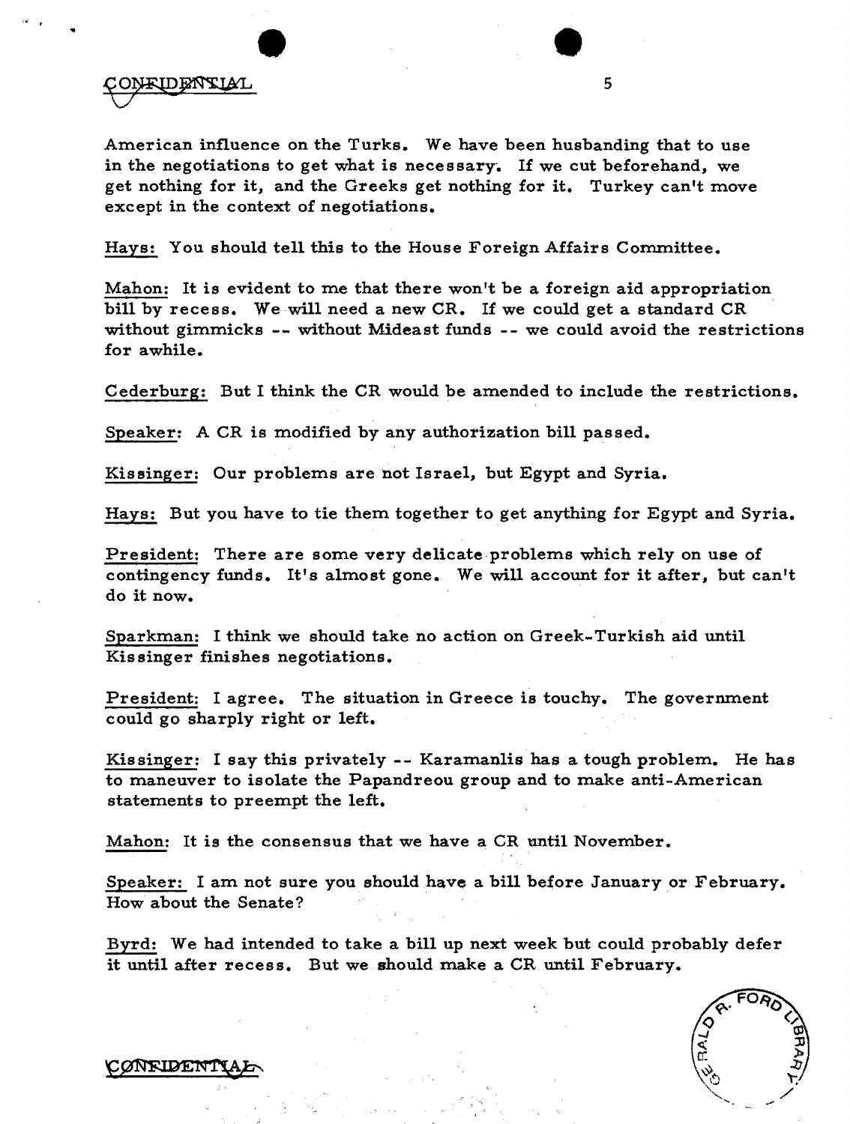ONEIDENTIAL

...

American influence on the Turks. We have been husbanding that to use in the negotiations to get what is necessary. If we cut beforehand, we get nothing for it, and the Greeks get nothing for it. Turkey can't move except in the context of negotiations.

5

Hays: You should tell this to the House Foreign Affairs Committee.

Mahon: It is evident to me that there won't be a foreign aid appropriation bill by recess. We will need a new CR. If we could get a standard CR without gimmicks -- without Mideast funds -- we could avoid the restrictions for awhile.

Cederburg: But I think the CR would be amended to include the restrictions.

Speaker: A CR is modified by any authorization bill passed.

Kissinger: Our problems are not Israel, but Egypt and Syria.

Hays: But you have to tie them together to get anything for Egypt and Syria.

President: There are some very delicate problems which rely on use of contingency funds. It's almost gone. We will account for it after, but can't do it now.

Sparkman: I think we should take no action on Greek-Turkish aid until Kissinger finishes negotiations.

President: I agree. The situation in Greece is touchy. The government could go sharply right or left.

Kissinger: I say this privately -- Karamanlis has a tough problem. He has to maneuver to isolate the Papandreou group and to make anti-American statements to preempt the left.

Mahon: It is the consensus that we have a CR until November.

Speaker: I am not sure you should have a bill before January or February. How about the Senate?

Byrd: We had intended to take a bill up next week but could probably defer it until after recess. But we should make a CR until February.

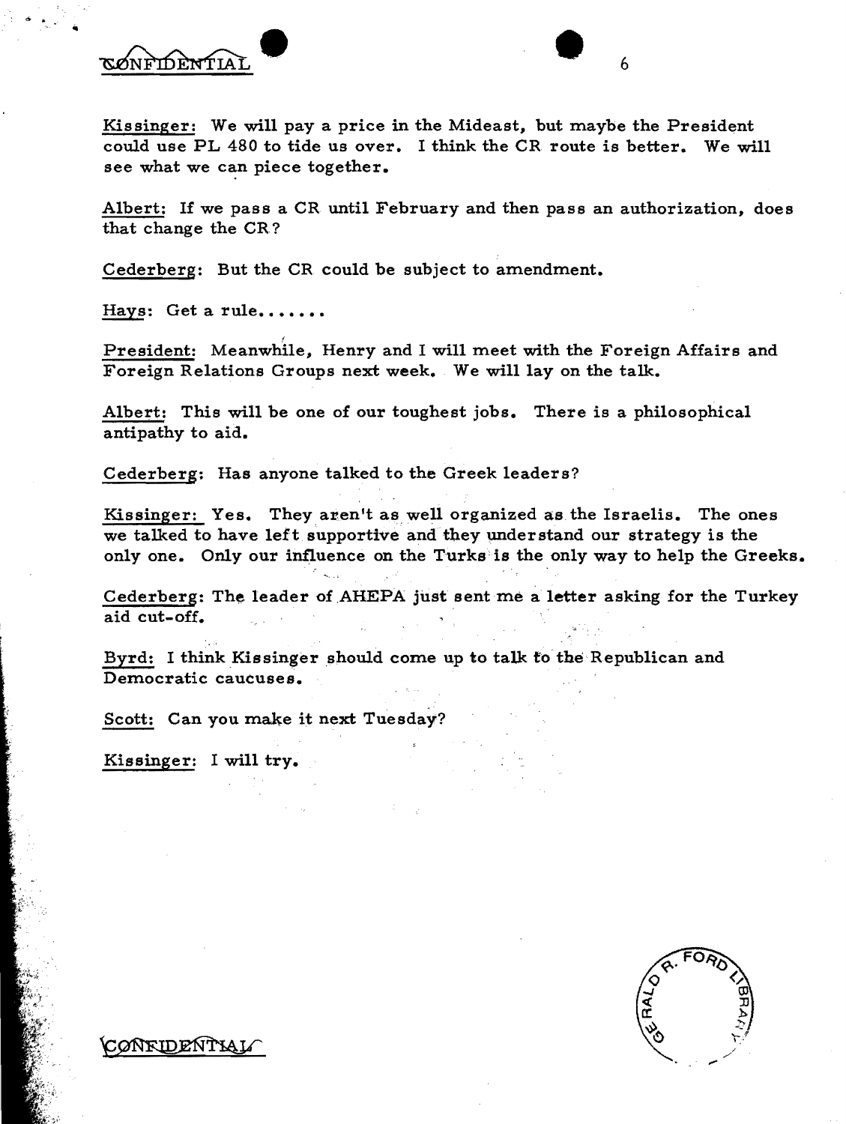ØNFIDENTIAI

 $\bullet$ 

Kissinger: We will pay a price in the Mideast, but maybe the President could use PL 480 to tide us over. I think the CR route is better. We will see what we can piece together.

Albert: If we pass a CR until February and then pass an authorization, does that change the CR?

Cederberg: But the CR could be subject to amendment.

Hays: Get a rule.......

President: Meanwhile, Henry and I will meet with the Foreign Affairs and Foreign Relations Groups next week. We will lay on the talk.

Albert: This will be one of our toughest jobs. There is a philosophical antipathy to aid.

Cederberg: Has anyone talked to the Greek leaders?

Kissinger: Yes. They aren't as well organized as the Israelis. The ones we talked to have left supportive and they understand our strategy is the only one. Only our influence on the Turks is the only way to help the Greeks.

Cederberg: The leader of AHEPA just sent me a letter asking for the Turkey aid cut-off.

Byrd: I think Kissinger should come up to talk to the Republican and Democratic caucuses.

Scott: Can you make it next Tuesday?

Kissinger: I will try.

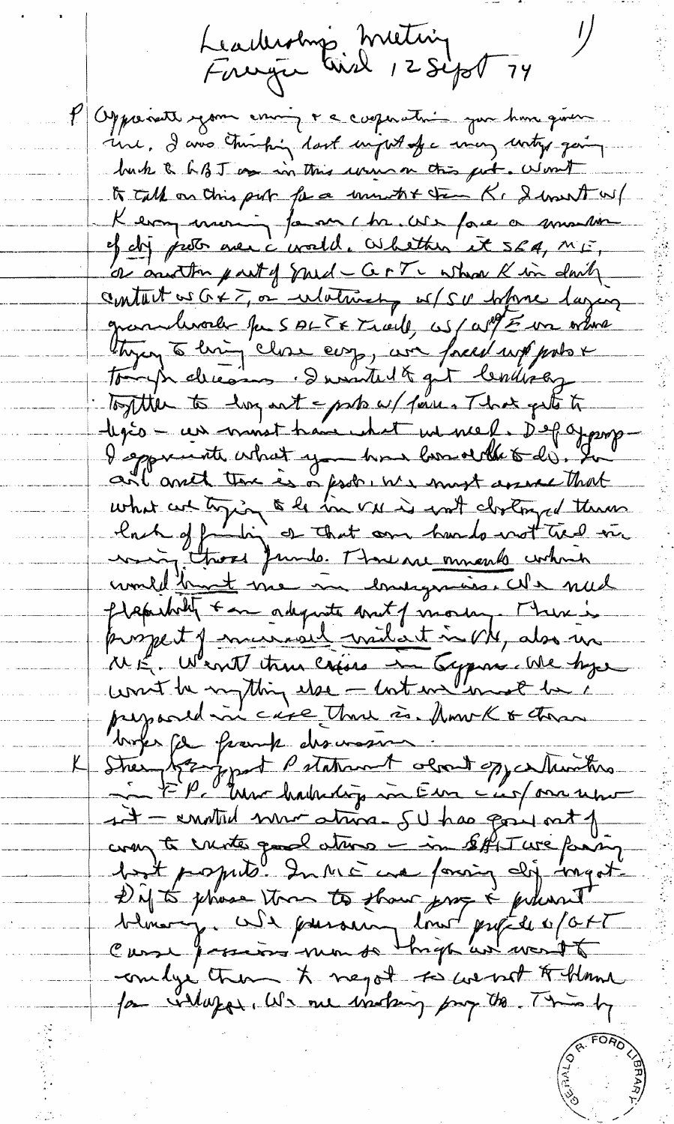Leadership Metring<br>Faceya Paid 12 Sept 74 P Opponett your couring recognation pour hour qu'un une, I avec transpoint dont important en man untry gaing buch & h B J am in this win on this get. Won't to talk on this piro for a unwhit them K. I hast w/ Kermy morning fammer hr. We face a smaller ef dij proto avec c'evald. Whether it seg, mis, centant as G & T, or whether of SU hypne lazen grandevorle pas ALTE Tiell, as all E un ordere thying to him close earp, we forced up probo x tough decomp . I writed & get lending Together to hay not - parts w/ fine . That gets to legés - un monst han what we med. Depayage I sported what you has bord the todi. In ant and the is a fest we must assert that what we trying to be in vue is worth clostonged theme commet those funds Mouraisments contrin pleasably + an adquate and of more, There is project of married without in My also un WE Went true crise in Eypon Me hyse books for frank discognes. Strein bezognat Patriment obrait oppertunitie  $A$  - enoted now atrice. SU has gone not of compte unité qual ation - in soffit une famig bot proprité In ME cre foring dij ingot Difts phase ton to than profile of at embys them to negot to went to theme for industry We me instang pay to This by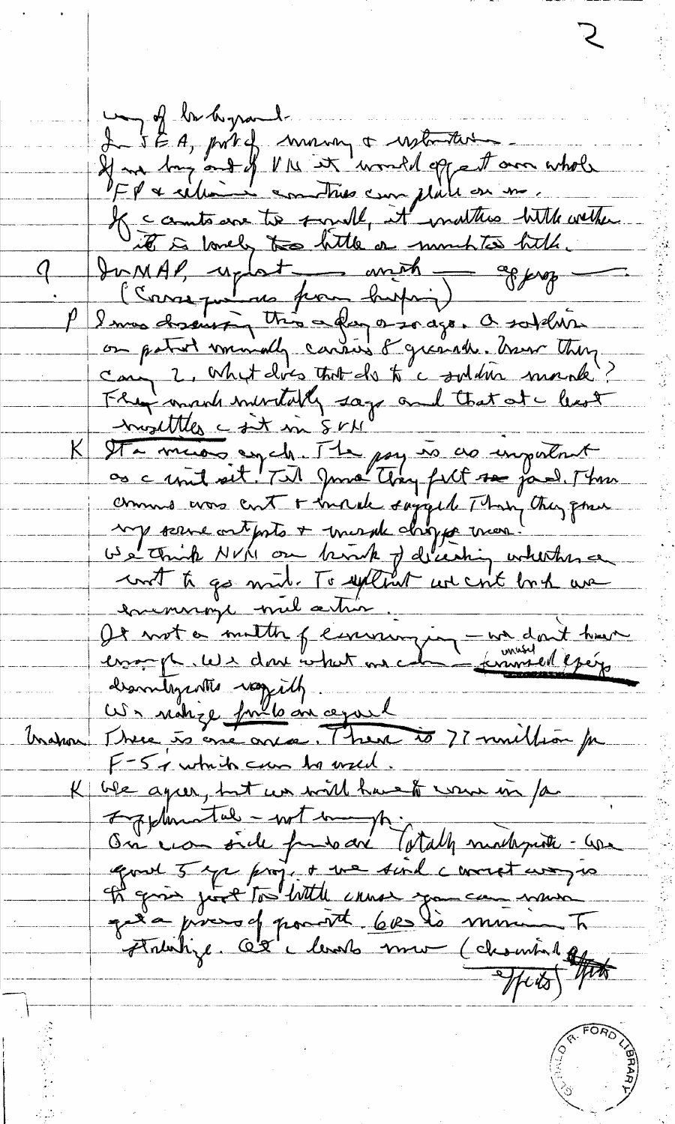my of br hyrand. L 5 E A, prît of money a witness If an Ing and of VIL it would oppet on whole K comta avec to small, it matters with wether it is lovely too bitte or montres bitte Du MAP, uplat - avit - approp can 2, what does that do to a soldier marche. Fly mark mentally says and that at a least <u>-Invalttles c sit in SVM</u> K Sta minor egale The pay is as important comme was cut + incide sayged Than they gone we think NVM on brook of decising whether a cont ti go mil. To extent we cont but we enemige mil action. le not a multin permission - un dont hun<br>cropp we dont what we can commediging descritagente raggilly Us notice fulle en cepsel tration There is one once. There is 77 multion for F-5 a which can be used. We agree, but we will have to wear in far  $\mathsf{K}_+$ Information - wit in p. On you side fundo are latally much put - use good 5 ye project we find correct way is of going just to with cause you can nave grée pixes of pourt 60 les ministres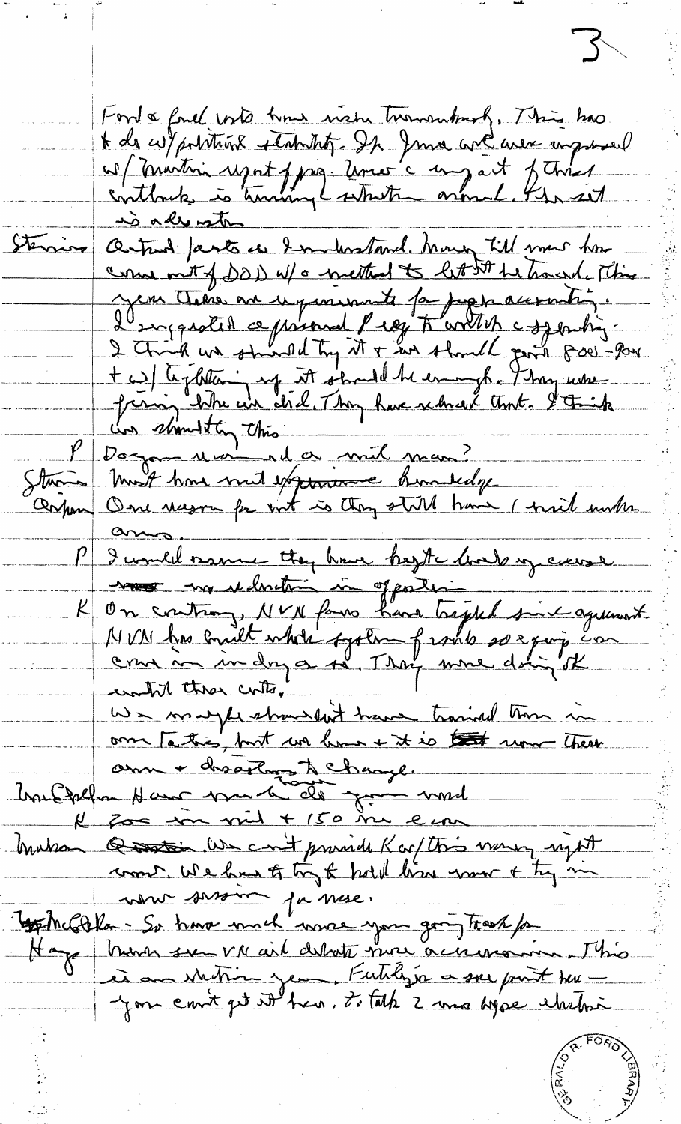$\sum$ Ford & fail with how wish turnswhich, This has t de cuy pointains étabolités de June avec avec massacel as (Maitri regnt pag temes à un aut febres) Outrad Jants as Industand. Many till me home Sterring come mit of DOD W/0 meethod to let 5th he tracend. This Jen Chine me upmand for papacerating. t w) textition up it should be enough. Thou were<br>frerain title en déel. Thou have returned tent. I trick  $\frac{\mu}{\sigma}$ Starten Must have med experience hunderdy on controm, NVN forms have trajed since agreement  $\mathcal{K}_$ om Tatis, but we have it is that were there Uneffehant des de Janvier  $k$  for in vil + 150 m ein huban Question. We can't provide K or this money upt comes we have to try to hold line more of try in Tout mois par paire. Hage Monn sur vn ail debute mon aciennaire. J'his is an shitting year, Futilizer a see point town you count get it has. To tak 2 mas hype chitos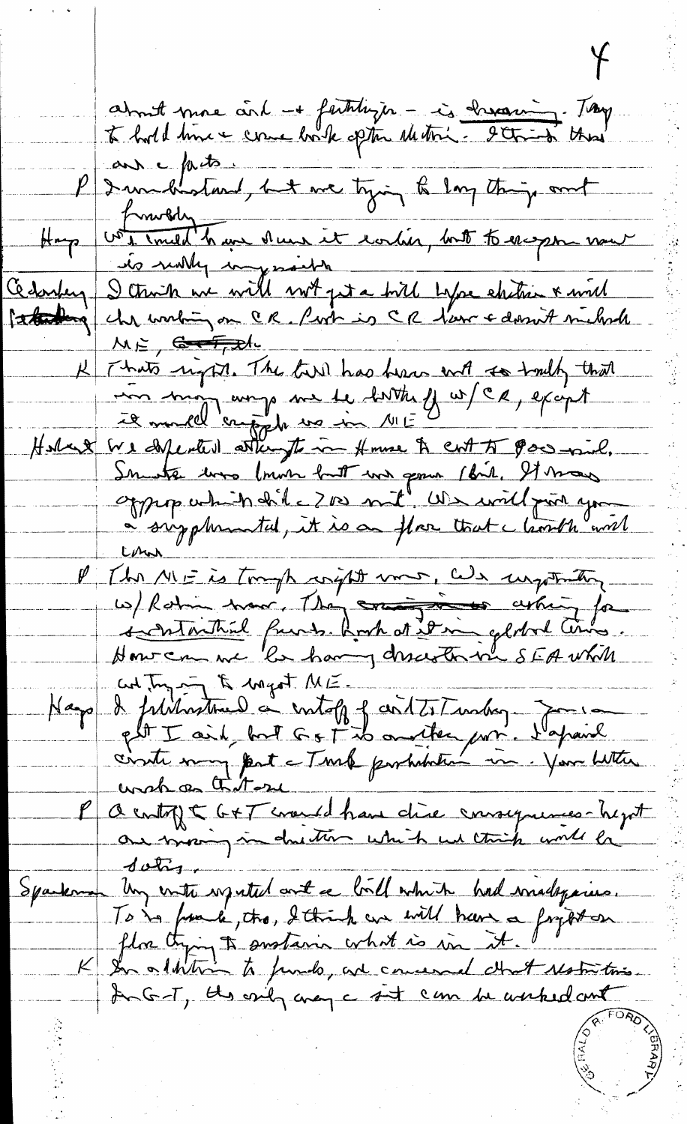about more and + faithtinger - is chroning. Tought an pets P I windhatand, but we tying to long things out Harp von militaire dues it worker, but to exper now Cedorfey stations! Il Thats riggin. The town has been with to truth that Holand We defected attempts in Home & CM AT Power will. oppep which did = 700 mil Us will pur you P (b) NIF is trough argit word, Wa surporting<br>w) Rotin troor, The crois of whin for Kap & filihrential or intoff of cirt7. Tumber 700100 unch as that P a contrit G+T could have chie consequences-hyst  $\frac{d}{dr}$ mon Un entre regulat ant ce bill which had madagement Sparkman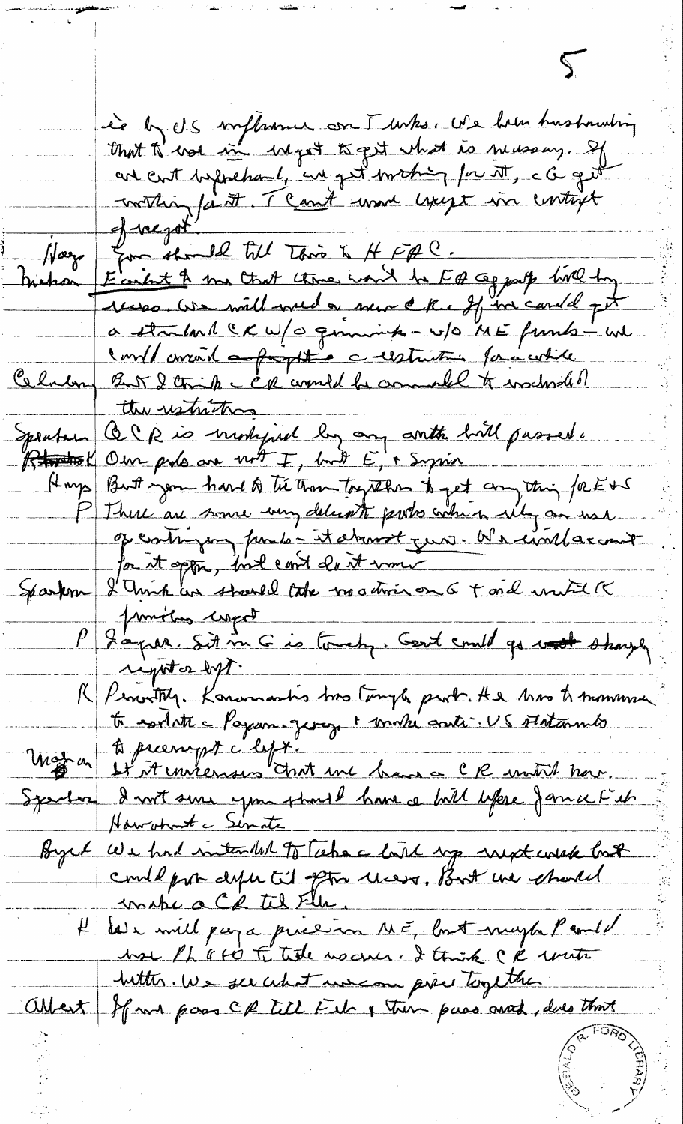ie by U.S. implement con I who we have husbanding that to was in myst to get what is newsay. If working faith. The and work users in contract  $+$ gregot Hay for the 12 till This is HFAC.<br>Mahan Ecritist A me that three word be FQ copporte tive try recess we will week a new ck. If in carded oft a startant CK W/O quinink - w/O ME funts - we conflament <del>approption c</del> estatistic foracutile Celulary But 2 think c car would be commanded to wachroad of ttre restrictions Robert Our pols are not I, but E, i Syria Hays But you hard to the transferre to get any thing factors Sparkom I Unik un startel take modifier on 6 + ord united K Jimites corpot<br>Japar Sit m G is touch, Cent could go wort staye righter byt. R Penitty. Konomantis tro temps part. He tre to transmuse Moyen It steeringst c'hyt. "<br>System d'unt sine you start une bann a CR soutil hour.<br>System d'unt sine you start have a bill lifere famie Fib Byrk We had intended to Technic land up next week look He less will pay a price in ME, but naph Pauld<br>hoe Ph a to F title no come . I think CR with<br>Jutter . We see what we can prie together